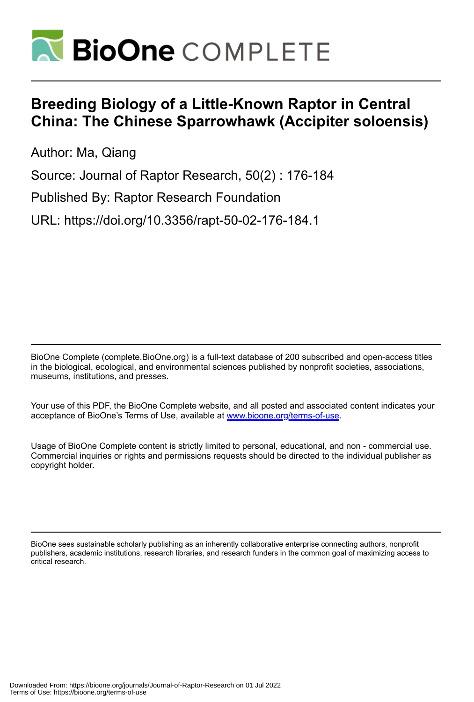

# **Breeding Biology of a Little-Known Raptor in Central China: The Chinese Sparrowhawk (Accipiter soloensis)**

Author: Ma, Qiang

Source: Journal of Raptor Research, 50(2) : 176-184

Published By: Raptor Research Foundation

URL: https://doi.org/10.3356/rapt-50-02-176-184.1

BioOne Complete (complete.BioOne.org) is a full-text database of 200 subscribed and open-access titles in the biological, ecological, and environmental sciences published by nonprofit societies, associations, museums, institutions, and presses.

Your use of this PDF, the BioOne Complete website, and all posted and associated content indicates your acceptance of BioOne's Terms of Use, available at www.bioone.org/terms-of-use.

Usage of BioOne Complete content is strictly limited to personal, educational, and non - commercial use. Commercial inquiries or rights and permissions requests should be directed to the individual publisher as copyright holder.

BioOne sees sustainable scholarly publishing as an inherently collaborative enterprise connecting authors, nonprofit publishers, academic institutions, research libraries, and research funders in the common goal of maximizing access to critical research.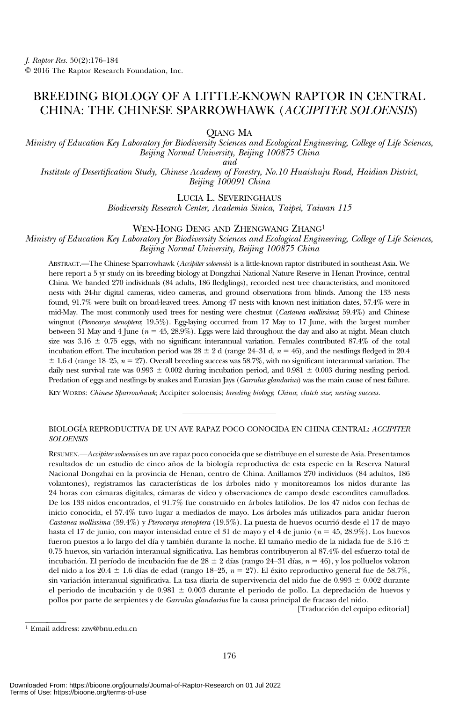# BREEDING BIOLOGY OF A LITTLE-KNOWN RAPTOR IN CENTRAL CHINA: THE CHINESE SPARROWHAWK (ACCIPITER SOLOENSIS)

QIANG MA

Ministry of Education Key Laboratory for Biodiversity Sciences and Ecological Engineering, College of Life Sciences, Beijing Normal University, Beijing 100875 China

and

Institute of Desertification Study, Chinese Academy of Forestry, No.10 Huaishuju Road, Haidian District, Beijing 100091 China

LUCIA L. SEVERINGHAUS

Biodiversity Research Center, Academia Sinica, Taipei, Taiwan 115

#### WEN-HONG DENG AND ZHENGWANG ZHANG1

Ministry of Education Key Laboratory for Biodiversity Sciences and Ecological Engineering, College of Life Sciences, Beijing Normal University, Beijing 100875 China

ABSTRACT.—The Chinese Sparrowhawk (Accipiter soloensis) is a little-known raptor distributed in southeast Asia. We here report a 5 yr study on its breeding biology at Dongzhai National Nature Reserve in Henan Province, central China. We banded 270 individuals (84 adults, 186 fledglings), recorded nest tree characteristics, and monitored nests with 24-hr digital cameras, video cameras, and ground observations from blinds. Among the 133 nests found, 91.7% were built on broad-leaved trees. Among 47 nests with known nest initiation dates, 57.4% were in mid-May. The most commonly used trees for nesting were chestnut (Castanea mollissima; 59.4%) and Chinese wingnut (Pterocarya stenoptera; 19.5%). Egg-laying occurred from 17 May to 17 June, with the largest number between 31 May and 4 June ( $n = 45, 28.9\%$ ). Eggs were laid throughout the day and also at night. Mean clutch size was 3.16  $\pm$  0.75 eggs, with no significant interannual variation. Females contributed 87.4% of the total incubation effort. The incubation period was  $28 \pm 2$  d (range 24–31 d,  $n = 46$ ), and the nestlings fledged in 20.4  $\pm$  1.6 d (range 18–25,  $n = 27$ ). Overall breeding success was 58.7%, with no significant interannual variation. The daily nest survival rate was 0.993  $\pm$  0.002 during incubation period, and 0.981  $\pm$  0.003 during nestling period. Predation of eggs and nestlings by snakes and Eurasian Jays (Garrulus glandarius) was the main cause of nest failure.

KEY WORDS: Chinese Sparrowhawk; Accipiter soloensis; breeding biology; China; clutch size, nesting success.

## BIOLOGÍA REPRODUCTIVA DE UN AVE RAPAZ POCO CONOCIDA EN CHINA CENTRAL: ACCIPITER **SOLOENSIS**

RESUMEN.—Accipiter soloensis es un ave rapaz poco conocida que se distribuye en el sureste de Asia. Presentamos resultados de un estudio de cinco años de la biología reproductiva de esta especie en la Reserva Natural Nacional Dongzhai en la provincia de Henan, centro de China. Anillamos 270 individuos (84 adultos, 186 volantones), registramos las características de los árboles nido y monitoreamos los nidos durante las 24 horas con cámaras digitales, cámaras de video y observaciones de campo desde escondites camuflados. De los 133 nidos encontrados, el 91.7% fue construido en árboles latifolios. De los 47 nidos con fechas de inicio conocida, el 57.4% tuvo lugar a mediados de mayo. Los árboles más utilizados para anidar fueron Castanea mollissima (59.4%) y Pterocarya stenoptera (19.5%). La puesta de huevos ocurrió desde el 17 de mayo hasta el 17 de junio, con mayor intensidad entre el 31 de mayo y el 4 de junio ( $n = 45, 28.9\%$ ). Los huevos fueron puestos a lo largo del día y también durante la noche. El tamaño medio de la nidada fue de 3.16  $\pm$ 0.75 huevos, sin variación interanual significativa. Las hembras contribuyeron al 87.4% del esfuerzo total de incubación. El período de incubación fue de 28  $\pm$  2 días (rango 24–31 días,  $n = 46$ ), y los polluelos volaron del nido a los 20.4  $\pm$  1.6 días de edad (rango 18–25,  $n = 27$ ). El éxito reproductivo general fue de 58.7%, sin variación interanual significativa. La tasa diaria de supervivencia del nido fue de  $0.993 \pm 0.002$  durante el periodo de incubación y de  $0.981 \pm 0.003$  durante el periodo de pollo. La depredación de huevos y pollos por parte de serpientes y de Garrulus glandarius fue la causa principal de fracaso del nido.

[Traducción del equipo editorial]

<sup>1</sup> Email address: zzw@bnu.edu.cn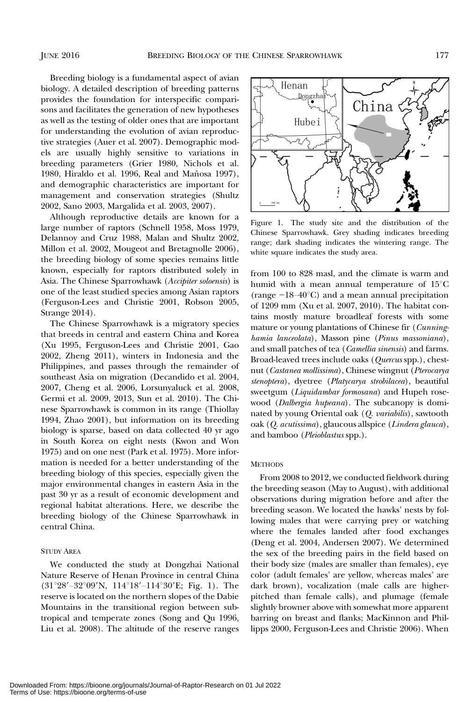Breeding biology is a fundamental aspect of avian biology. A detailed description of breeding patterns provides the foundation for interspecific comparisons and facilitates the generation of new hypotheses as well as the testing of older ones that are important for understanding the evolution of avian reproductive strategies (Auer et al. 2007). Demographic models are usually highly sensitive to variations in breeding parameters (Grier 1980, Nichols et al. 1980, Hiraldo et al. 1996, Real and Mañosa 1997), and demographic characteristics are important for management and conservation strategies (Shultz 2002, Sano 2003, Margalida et al. 2003, 2007).

Although reproductive details are known for a large number of raptors (Schnell 1958, Moss 1979, Delannoy and Cruz 1988, Malan and Shultz 2002, Millon et al. 2002, Mougeot and Bretagnolle 2006), the breeding biology of some species remains little known, especially for raptors distributed solely in Asia. The Chinese Sparrowhawk (Accipiter soloensis) is one of the least studied species among Asian raptors (Ferguson-Lees and Christie 2001, Robson 2005, Strange 2014).

The Chinese Sparrowhawk is a migratory species that breeds in central and eastern China and Korea (Xu 1995, Ferguson-Lees and Christie 2001, Gao 2002, Zheng 2011), winters in Indonesia and the Philippines, and passes through the remainder of southeast Asia on migration (Decandido et al. 2004, 2007, Cheng et al. 2006, Lorsunyaluck et al. 2008, Germi et al. 2009, 2013, Sun et al. 2010). The Chinese Sparrowhawk is common in its range (Thiollay 1994, Zhao 2001), but information on its breeding biology is sparse, based on data collected 40 yr ago in South Korea on eight nests (Kwon and Won 1975) and on one nest (Park et al. 1975). More information is needed for a better understanding of the breeding biology of this species, especially given the major environmental changes in eastern Asia in the past 30 yr as a result of economic development and regional habitat alterations. Here, we describe the breeding biology of the Chinese Sparrowhawk in central China.

# STUDY AREA

We conducted the study at Dongzhai National Nature Reserve of Henan Province in central China  $(31°28' - 32°09'N, 114°18' - 114°30'E; Fig. 1)$ . The reserve is located on the northern slopes of the Dabie Mountains in the transitional region between subtropical and temperate zones (Song and Qu 1996, Liu et al. 2008). The altitude of the reserve ranges



Figure 1. The study site and the distribution of the Chinese Sparrowhawk. Grey shading indicates breeding range; dark shading indicates the wintering range. The white square indicates the study area.

from 100 to 828 masl, and the climate is warm and humid with a mean annual temperature of  $15^{\circ}$ C Frange; dark shading indicates the wintering range. The<br>white square indicates the study area.<br>from 100 to 828 masl, and the climate is warm and<br>humid with a mean annual temperature of  $15^{\circ}$ C<br>(range −18–40°C) and a mea of 1209 mm (Xu et al. 2007, 2010). The habitat contains mostly mature broadleaf forests with some mature or young plantations of Chinese fir (Cunninghamia lanceolata), Masson pine (Pinus massoniana), and small patches of tea (Camellia sinensis) and farms. Broad-leaved trees include oaks (Quercus spp.), chestnut (Castanea mollissima), Chinese wingnut (Pterocarya stenoptera), dyetree (Platycarya strobilacea), beautiful sweetgum (Liquidambar formosana) and Hupeh rosewood (Dalbergia hupeana). The subcanopy is dominated by young Oriental oak (Q. variabilis), sawtooth oak (Q. acutissima), glaucous allspice (Lindera glauca), and bamboo (Pleioblastus spp.).

## **METHODS**

From 2008 to 2012, we conducted fieldwork during the breeding season (May to August), with additional observations during migration before and after the breeding season. We located the hawks' nests by following males that were carrying prey or watching where the females landed after food exchanges (Deng et al. 2004, Andersen 2007). We determined the sex of the breeding pairs in the field based on their body size (males are smaller than females), eye color (adult females' are yellow, whereas males' are dark brown), vocalization (male calls are higherpitched than female calls), and plumage (female slightly browner above with somewhat more apparent barring on breast and flanks; MacKinnon and Phillipps 2000, Ferguson-Lees and Christie 2006). When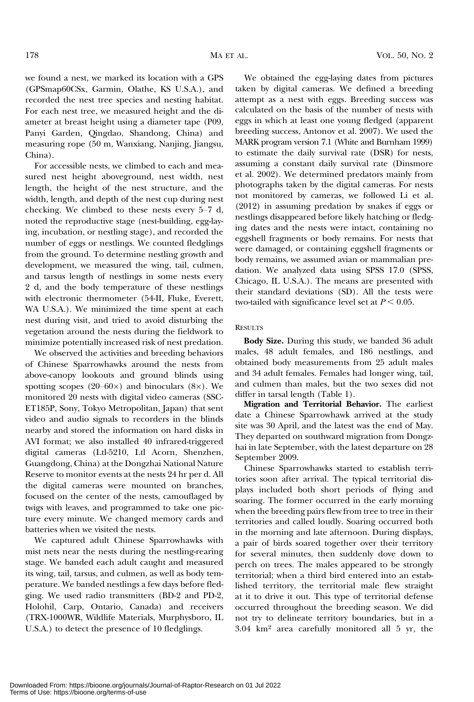we found a nest, we marked its location with a GPS (GPSmap60CSx, Garmin, Olathe, KS U.S.A.), and recorded the nest tree species and nesting habitat. For each nest tree, we measured height and the diameter at breast height using a diameter tape (P09, Panyi Garden, Qingdao, Shandong, China) and measuring rope (50 m, Wanxiang, Nanjing, Jiangsu, China).

For accessible nests, we climbed to each and measured nest height aboveground, nest width, nest length, the height of the nest structure, and the width, length, and depth of the nest cup during nest checking. We climbed to these nests every 5–7 d, noted the reproductive stage (nest-building, egg-laying, incubation, or nestling stage), and recorded the number of eggs or nestlings. We counted fledglings from the ground. To determine nestling growth and development, we measured the wing, tail, culmen, and tarsus length of nestlings in some nests every 2 d, and the body temperature of these nestlings with electronic thermometer (54-II, Fluke, Everett, WA U.S.A.). We minimized the time spent at each nest during visit, and tried to avoid disturbing the vegetation around the nests during the fieldwork to minimize potentially increased risk of nest predation.

We observed the activities and breeding behaviors of Chinese Sparrowhawks around the nests from above-canopy lookouts and ground blinds using spotting scopes (20–60 $\times$ ) and binoculars (8 $\times$ ). We monitored 20 nests with digital video cameras (SSC-ET185P, Sony, Tokyo Metropolitan, Japan) that sent video and audio signals to recorders in the blinds nearby and stored the information on hard disks in AVI format; we also installed 40 infrared-triggered digital cameras (Ltl-5210, Ltl Acorn, Shenzhen, Guangdong, China) at the Dongzhai National Nature Reserve to monitor events at the nests 24 hr per d. All the digital cameras were mounted on branches, focused on the center of the nests, camouflaged by twigs with leaves, and programmed to take one picture every minute. We changed memory cards and batteries when we visited the nests.

We captured adult Chinese Sparrowhawks with mist nets near the nests during the nestling-rearing stage. We banded each adult caught and measured its wing, tail, tarsus, and culmen, as well as body temperature. We banded nestlings a few days before fledging. We used radio transmitters (BD-2 and PD-2, Holohil, Carp, Ontario, Canada) and receivers (TRX-1000WR, Wildlife Materials, Murphysboro, IL U.S.A.) to detect the presence of 10 fledglings.

We obtained the egg-laying dates from pictures taken by digital cameras. We defined a breeding attempt as a nest with eggs. Breeding success was calculated on the basis of the number of nests with eggs in which at least one young fledged (apparent breeding success, Antonov et al. 2007). We used the MARK program version 7.1 (White and Burnham 1999) to estimate the daily survival rate (DSR) for nests, assuming a constant daily survival rate (Dinsmore et al. 2002). We determined predators mainly from photographs taken by the digital cameras. For nests not monitored by cameras, we followed Li et al. (2012) in assuming predation by snakes if eggs or nestlings disappeared before likely hatching or fledging dates and the nests were intact, containing no eggshell fragments or body remains. For nests that were damaged, or containing eggshell fragments or body remains, we assumed avian or mammalian predation. We analyzed data using SPSS 17.0 (SPSS, Chicago, IL U.S.A.). The means are presented with their standard deviations (SD). All the tests were two-tailed with significance level set at  $P < 0.05$ .

#### **RESULTS**

Body Size. During this study, we banded 36 adult males, 48 adult females, and 186 nestlings, and obtained body measurements from 25 adult males and 34 adult females. Females had longer wing, tail, and culmen than males, but the two sexes did not differ in tarsal length (Table 1).

Migration and Territorial Behavior. The earliest date a Chinese Sparrowhawk arrived at the study site was 30 April, and the latest was the end of May. They departed on southward migration from Dongzhai in late September, with the latest departure on 28 September 2009.

Chinese Sparrowhawks started to establish territories soon after arrival. The typical territorial displays included both short periods of flying and soaring. The former occurred in the early morning when the breeding pairs flew from tree to tree in their territories and called loudly. Soaring occurred both in the morning and late afternoon. During displays, a pair of birds soared together over their territory for several minutes, then suddenly dove down to perch on trees. The males appeared to be strongly territorial; when a third bird entered into an established territory, the territorial male flew straight at it to drive it out. This type of territorial defense occurred throughout the breeding season. We did not try to delineate territory boundaries, but in a 3.04 km2 area carefully monitored all 5 yr, the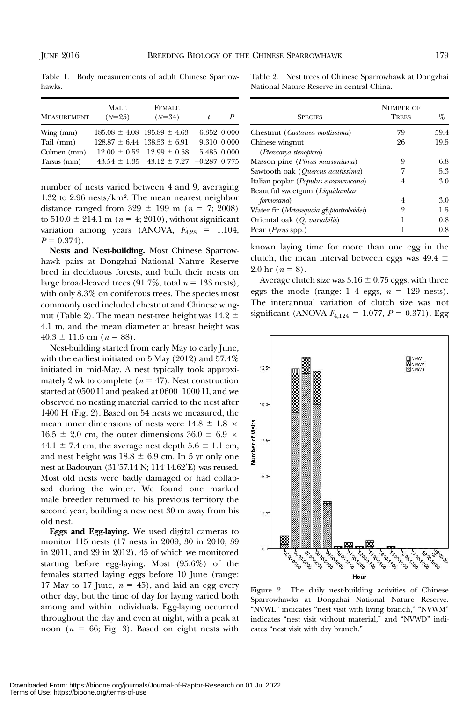Table 1. Body measurements of adult Chinese Sparrowhawks.

| <b>MEASUREMENT</b> | <b>MALE</b><br>$(N=25)$ | <b>FEMALE</b><br>$(N=34)$                        | t.          | P           |
|--------------------|-------------------------|--------------------------------------------------|-------------|-------------|
| $Wing$ (mm)        |                         | $185.08 \pm 4.08$ $195.89 \pm 4.63$              |             | 6.352 0.000 |
| Tail (mm)          |                         | $128.87 \pm 6.44$ $138.53 \pm 6.91$              | 9.310 0.000 |             |
| Culmen (mm)        |                         | $12.00 \pm 0.52$ $12.99 \pm 0.58$                |             | 5.485 0.000 |
| Tarsus (mm)        |                         | $43.54 \pm 1.35$ $43.12 \pm 7.27$ $-0.287$ 0.775 |             |             |

number of nests varied between 4 and 9, averaging 1.32 to 2.96 nests/km2. The mean nearest neighbor distance ranged from  $329 \pm 199$  m ( $n = 7$ ; 2008) to  $510.0 \pm 214.1 \text{ m}$  ( $n = 4$ ; 2010), without significant variation among years (ANOVA,  $F_{4,28} = 1.104$ ,  $P = 0.374$ .

Nests and Nest-building. Most Chinese Sparrowhawk pairs at Dongzhai National Nature Reserve bred in deciduous forests, and built their nests on large broad-leaved trees (91.7%, total  $n = 133$  nests), with only 8.3% on coniferous trees. The species most commonly used included chestnut and Chinese wingnut (Table 2). The mean nest-tree height was  $14.2 \pm 1$ 4.1 m, and the mean diameter at breast height was  $40.3 \pm 11.6$  cm ( $n = 88$ ).

Nest-building started from early May to early June, with the earliest initiated on 5 May (2012) and 57.4% initiated in mid-May. A nest typically took approximately 2 wk to complete ( $n = 47$ ). Nest construction started at 0500 H and peaked at 0600–1000 H, and we observed no nesting material carried to the nest after 1400 H (Fig. 2). Based on 54 nests we measured, the mean inner dimensions of nests were  $14.8 \pm 1.8 \times$  $16.5 \pm 2.0$  cm, the outer dimensions  $36.0 \pm 6.9 \times$ 44.1  $\pm$  7.4 cm, the average nest depth 5.6  $\pm$  1.1 cm, and nest height was  $18.8 \pm 6.9$  cm. In 5 yr only one nest at Badouyan  $(31^{\circ}57.14^{\prime}N; 114^{\circ}14.62^{\prime}E)$  was reused. Most old nests were badly damaged or had collapsed during the winter. We found one marked male breeder returned to his previous territory the second year, building a new nest 30 m away from his old nest.

Eggs and Egg-laying. We used digital cameras to monitor 115 nests (17 nests in 2009, 30 in 2010, 39 in 2011, and 29 in 2012), 45 of which we monitored starting before egg-laying. Most (95.6%) of the females started laying eggs before 10 June (range: 17 May to 17 June,  $n = 45$ ), and laid an egg every other day, but the time of day for laying varied both among and within individuals. Egg-laying occurred throughout the day and even at night, with a peak at noon ( $n = 66$ ; Fig. 3). Based on eight nests with

Table 2. Nest trees of Chinese Sparrowhawk at Dongzhai National Nature Reserve in central China.

| <b>SPECIES</b>                           | <b>NUMBER OF</b><br><b>TREES</b> | %    |
|------------------------------------------|----------------------------------|------|
| Chestnut (Castanea mollissima)           | 79                               | 59.4 |
| Chinese wingnut                          | 26                               | 19.5 |
| (Pterocarya stenoptera)                  |                                  |      |
| Masson pine (Pinus massoniana)           | 9                                | 6.8  |
| Sawtooth oak (Quercus acutissima)        |                                  | 5.3  |
| Italian poplar (Populus euramevicana)    | 4                                | 3.0  |
| Beautiful sweetgum (Liquidambar          |                                  |      |
| formosana)                               | 4                                | 3.0  |
| Water fir (Metasequoia glyptostroboides) | 2                                | 1.5  |
| Oriental oak (Q. variabilis)             | 1                                | 0.8  |
| Pear ( <i>Pyrus</i> spp.)                |                                  | 0.8  |

known laying time for more than one egg in the clutch, the mean interval between eggs was  $49.4 \pm$ 2.0 hr  $(n = 8)$ .

Average clutch size was  $3.16 \pm 0.75$  eggs, with three eggs the mode (range:  $1-4$  eggs,  $n = 129$  nests). The interannual variation of clutch size was not significant (ANOVA  $F_{4,124} = 1.077$ ,  $P = 0.371$ ). Egg



Figure 2. The daily nest-building activities of Chinese Sparrowhawks at Dongzhai National Nature Reserve. "NVWL" indicates "nest visit with living branch," "NVWM" indicates "nest visit without material," and "NVWD" indicates "nest visit with dry branch."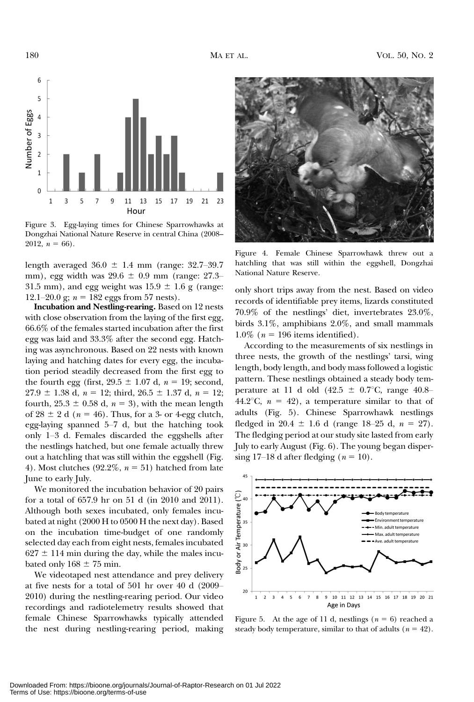

Figure 3. Egg-laying times for Chinese Sparrowhawks at Dongzhai National Nature Reserve in central China (2008– 2012,  $n = 66$ ).

length averaged  $36.0 \pm 1.4$  mm (range: 32.7–39.7) mm), egg width was  $29.6 \pm 0.9$  mm (range: 27.3– 31.5 mm), and egg weight was  $15.9 \pm 1.6$  g (range: 12.1–20.0 g;  $n = 182$  eggs from 57 nests).

Incubation and Nestling-rearing. Based on 12 nests with close observation from the laying of the first egg, 66.6% of the females started incubation after the first egg was laid and 33.3% after the second egg. Hatching was asynchronous. Based on 22 nests with known laying and hatching dates for every egg, the incubation period steadily decreased from the first egg to the fourth egg (first,  $29.5 \pm 1.07$  d,  $n = 19$ ; second,  $27.9 \pm 1.38$  d,  $n = 12$ ; third,  $26.5 \pm 1.37$  d,  $n = 12$ ; fourth,  $25.3 \pm 0.58$  d,  $n = 3$ ), with the mean length of  $28 \pm 2$  d ( $n = 46$ ). Thus, for a 3- or 4-egg clutch, egg-laying spanned 5–7 d, but the hatching took only 1–3 d. Females discarded the eggshells after the nestlings hatched, but one female actually threw out a hatchling that was still within the eggshell (Fig. 4). Most clutches (92.2\%,  $n = 51$ ) hatched from late June to early July.

We monitored the incubation behavior of 20 pairs for a total of 657.9 hr on 51 d (in 2010 and 2011). Although both sexes incubated, only females incubated at night (2000 H to 0500 H the next day). Based on the incubation time-budget of one randomly selected day each from eight nests, females incubated  $627 \pm 114$  min during the day, while the males incubated only  $168 \pm 75$  min.

We videotaped nest attendance and prey delivery at five nests for a total of 501 hr over 40 d (2009– 2010) during the nestling-rearing period. Our video recordings and radiotelemetry results showed that female Chinese Sparrowhawks typically attended the nest during nestling-rearing period, making



Figure 4. Female Chinese Sparrowhawk threw out a hatchling that was still within the eggshell, Dongzhai National Nature Reserve.

only short trips away from the nest. Based on video records of identifiable prey items, lizards constituted 70.9% of the nestlings' diet, invertebrates 23.0%, birds 3.1%, amphibians 2.0%, and small mammals 1.0% ( $n = 196$  items identified).

According to the measurements of six nestlings in three nests, the growth of the nestlings' tarsi, wing length, body length, and body mass followed a logistic pattern. These nestlings obtained a steady body temperature at 11 d old  $(42.5 \pm 0.7$ °C, range 40.8– 44.2°C,  $n = 42$ ), a temperature similar to that of adults (Fig. 5). Chinese Sparrowhawk nestlings fledged in 20.4  $\pm$  1.6 d (range 18–25 d,  $n = 27$ ). The fledging period at our study site lasted from early July to early August (Fig. 6). The young began dispersing 17–18 d after fledging  $(n = 10)$ .



Figure 5. At the age of 11 d, nestlings ( $n = 6$ ) reached a steady body temperature, similar to that of adults  $(n = 42)$ .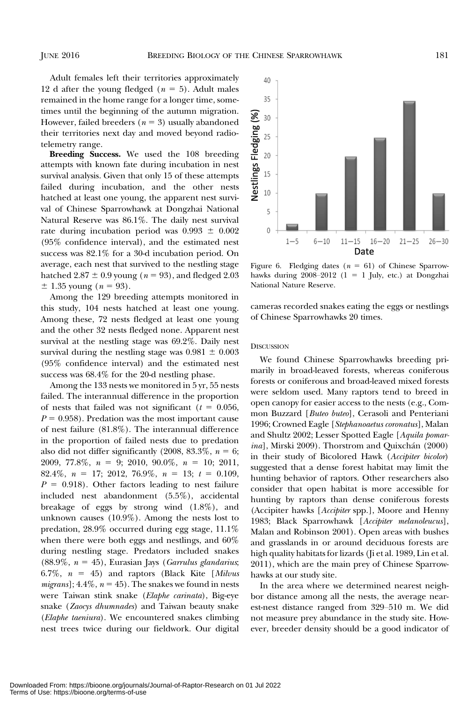Adult females left their territories approximately 12 d after the young fledged ( $n = 5$ ). Adult males remained in the home range for a longer time, sometimes until the beginning of the autumn migration. However, failed breeders ( $n = 3$ ) usually abandoned their territories next day and moved beyond radio‐ telemetry range.

Breeding Success. We used the 108 breeding attempts with known fate during incubation in nest survival analysis. Given that only 15 of these attempts failed during incubation, and the other nests hatched at least one young, the apparent nest survival of Chinese Sparrowhawk at Dongzhai National Natural Reserve was 86.1%. The daily nest survival rate during incubation period was  $0.993 \pm 0.002$ (95% confidence interval), and the estimated nest success was 82.1% for a 30-d incubation period. On average, each nest that survived to the nestling stage hatched  $2.87 \pm 0.9$  young ( $n = 93$ ), and fledged 2.03  $\pm$  1.35 young (*n* = 93).

Among the 129 breeding attempts monitored in this study, 104 nests hatched at least one young. Among these, 72 nests fledged at least one young and the other 32 nests fledged none. Apparent nest survival at the nestling stage was 69.2%. Daily nest survival during the nestling stage was  $0.981 \pm 0.003$ (95% confidence interval) and the estimated nest success was 68.4% for the 20-d nestling phase.

Among the 133 nests we monitored in 5 yr, 55 nests failed. The interannual difference in the proportion of nests that failed was not significant ( $t = 0.056$ ,  $P = 0.958$ . Predation was the most important cause of nest failure (81.8%). The interannual difference in the proportion of failed nests due to predation also did not differ significantly (2008, 83.3%,  $n = 6$ ; 2009, 77.8%,  $n = 9$ ; 2010, 90.0%,  $n = 10$ ; 2011, 82.4%,  $n = 17$ ; 2012, 76.9%,  $n = 13$ ;  $t = 0.109$ ,  $P = 0.918$ . Other factors leading to nest failure included nest abandonment (5.5%), accidental breakage of eggs by strong wind (1.8%), and unknown causes (10.9%). Among the nests lost to predation, 28.9% occurred during egg stage, 11.1% when there were both eggs and nestlings, and 60% during nestling stage. Predators included snakes (88.9%,  $n = 45$ ), Eurasian Jays (Garrulus glandarius; 6.7%,  $n = 45$ ) and raptors (Black Kite [Milvus *migrans*];  $4.4\%$ ,  $n = 45$ ). The snakes we found in nests were Taiwan stink snake (Elaphe carinata), Big-eye snake (Zaocys dhumnades) and Taiwan beauty snake (Elaphe taeniura). We encountered snakes climbing nest trees twice during our fieldwork. Our digital



Figure 6. Fledging dates  $(n = 61)$  of Chinese Sparrowhawks during  $2008-2012$  (1 = 1 July, etc.) at Dongzhai National Nature Reserve.

cameras recorded snakes eating the eggs or nestlings of Chinese Sparrowhawks 20 times.

#### **DISCUSSION**

We found Chinese Sparrowhawks breeding primarily in broad-leaved forests, whereas coniferous forests or coniferous and broad-leaved mixed forests were seldom used. Many raptors tend to breed in open canopy for easier access to the nests (e.g., Common Buzzard [Buteo buteo], Cerasoli and Penteriani 1996; Crowned Eagle [Stephanoaetus coronatus], Malan and Shultz 2002; Lesser Spotted Eagle [Aquila pomarina], Mirski 2009). Thorstrom and Quixchán (2000) in their study of Bicolored Hawk (Accipiter bicolor) suggested that a dense forest habitat may limit the hunting behavior of raptors. Other researchers also consider that open habitat is more accessible for hunting by raptors than dense coniferous forests (Accipiter hawks [Accipiter spp.], Moore and Henny 1983; Black Sparrowhawk [Accipiter melanoleucus], Malan and Robinson 2001). Open areas with bushes and grasslands in or around deciduous forests are high quality habitats for lizards (Ji et al. 1989, Lin et al. 2011), which are the main prey of Chinese Sparrowhawks at our study site.

In the area where we determined nearest neighbor distance among all the nests, the average nearest-nest distance ranged from 329–510 m. We did not measure prey abundance in the study site. However, breeder density should be a good indicator of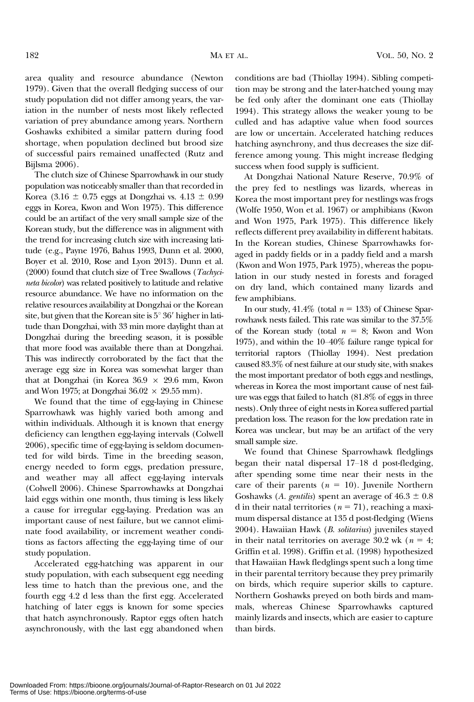area quality and resource abundance (Newton 1979). Given that the overall fledging success of our study population did not differ among years, the variation in the number of nests most likely reflected variation of prey abundance among years. Northern Goshawks exhibited a similar pattern during food shortage, when population declined but brood size of successful pairs remained unaffected (Rutz and Bijlsma 2006).

The clutch size of Chinese Sparrowhawk in our study population was noticeably smaller than that recorded in Korea (3.16  $\pm$  0.75 eggs at Dongzhai vs. 4.13  $\pm$  0.99 eggs in Korea, Kwon and Won 1975). This difference could be an artifact of the very small sample size of the Korean study, but the difference was in alignment with the trend for increasing clutch size with increasing latitude (e.g., Payne 1976, Bahus 1993, Dunn et al. 2000, Boyer et al. 2010, Rose and Lyon 2013). Dunn et al. (2000) found that clutch size of Tree Swallows (Tachycineta bicolor) was related positively to latitude and relative resource abundance. We have no information on the relative resources availability at Dongzhai or the Korean site, but given that the Korean site is  $5^{\circ}$   $36'$  higher in latitude than Dongzhai, with 33 min more daylight than at Dongzhai during the breeding season, it is possible that more food was available there than at Dongzhai. This was indirectly corroborated by the fact that the average egg size in Korea was somewhat larger than that at Dongzhai (in Korea  $36.9 \times 29.6$  mm, Kwon and Won 1975; at Dongzhai  $36.02 \times 29.55$  mm).

We found that the time of egg-laying in Chinese Sparrowhawk was highly varied both among and within individuals. Although it is known that energy deficiency can lengthen egg-laying intervals (Colwell 2006), specific time of egg-laying is seldom documented for wild birds. Time in the breeding season, energy needed to form eggs, predation pressure, and weather may all affect egg-laying intervals (Colwell 2006). Chinese Sparrowhawks at Dongzhai laid eggs within one month, thus timing is less likely a cause for irregular egg-laying. Predation was an important cause of nest failure, but we cannot eliminate food availability, or increment weather conditions as factors affecting the egg-laying time of our study population.

Accelerated egg-hatching was apparent in our study population, with each subsequent egg needing less time to hatch than the previous one, and the fourth egg 4.2 d less than the first egg. Accelerated hatching of later eggs is known for some species that hatch asynchronously. Raptor eggs often hatch asynchronously, with the last egg abandoned when

conditions are bad (Thiollay 1994). Sibling competition may be strong and the later-hatched young may be fed only after the dominant one eats (Thiollay 1994). This strategy allows the weaker young to be culled and has adaptive value when food sources are low or uncertain. Accelerated hatching reduces hatching asynchrony, and thus decreases the size difference among young. This might increase fledging success when food supply is sufficient.

At Dongzhai National Nature Reserve, 70.9% of the prey fed to nestlings was lizards, whereas in Korea the most important prey for nestlings was frogs (Wolfe 1950, Won et al. 1967) or amphibians (Kwon and Won 1975, Park 1975). This difference likely reflects different prey availability in different habitats. In the Korean studies, Chinese Sparrowhawks foraged in paddy fields or in a paddy field and a marsh (Kwon and Won 1975, Park 1975), whereas the population in our study nested in forests and foraged on dry land, which contained many lizards and few amphibians.

In our study,  $41.4\%$  (total  $n = 133$ ) of Chinese Sparrowhawk nests failed. This rate was similar to the 37.5% of the Korean study (total  $n = 8$ ; Kwon and Won 1975), and within the 10–40% failure range typical for territorial raptors (Thiollay 1994). Nest predation caused 83.3% of nest failure at our study site, with snakes the most important predator of both eggs and nestlings, whereas in Korea the most important cause of nest failure was eggs that failed to hatch (81.8% of eggs in three nests). Only three of eight nests in Korea suffered partial predation loss. The reason for the low predation rate in Korea was unclear, but may be an artifact of the very small sample size.

We found that Chinese Sparrowhawk fledglings began their natal dispersal 17–18 d post-fledging, after spending some time near their nests in the care of their parents ( $n = 10$ ). Juvenile Northern Goshawks (A. gentilis) spent an average of  $46.3 \pm 0.8$ d in their natal territories ( $n = 71$ ), reaching a maximum dispersal distance at 135 d post-fledging (Wiens 2004). Hawaiian Hawk (B. solitarius) juveniles stayed in their natal territories on average 30.2 wk ( $n = 4$ ; Griffin et al. 1998). Griffin et al. (1998) hypothesized that Hawaiian Hawk fledglings spent such a long time in their parental territory because they prey primarily on birds, which require superior skills to capture. Northern Goshawks preyed on both birds and mammals, whereas Chinese Sparrowhawks captured mainly lizards and insects, which are easier to capture than birds.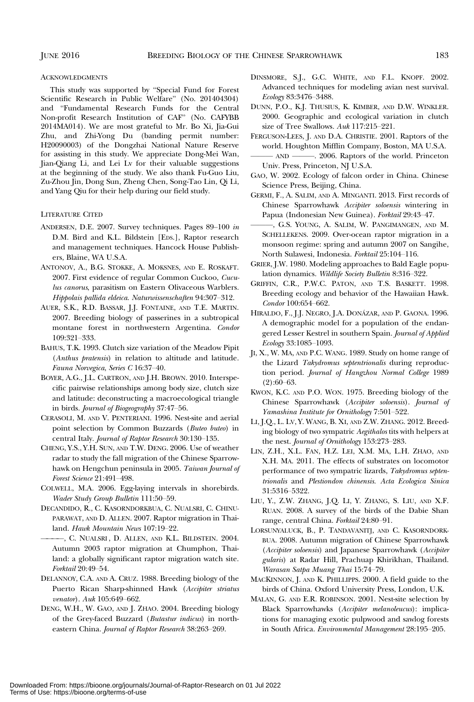#### ACKNOWLEDGMENTS

This study was supported by "Special Fund for Forest Scientific Research in Public Welfare" (No. 201404304) and "Fundamental Research Funds for the Central Non-profit Research Institution of CAF" (No. CAFYBB 2014MA014). We are most grateful to Mr. Bo Xi, Jia-Gui Zhu, and Zhi-Yong Du (banding permit number: H20090003) of the Dongzhai National Nature Reserve for assisting in this study. We appreciate Dong-Mei Wan, Jian-Qiang Li, and Lei Lv for their valuable suggestions at the beginning of the study. We also thank Fu-Guo Liu, Zu-Zhou Jin, Dong Sun, Zheng Chen, Song-Tao Lin, Qi Li, and Yang Qiu for their help during our field study.

## LITERATURE CITED

- ANDERSEN, D.E. 2007. Survey techniques. Pages 89–100 in D.M. Bird and K.L. Bildstein [EDS.], Raptor research and management techniques. Hancock House Publishers, Blaine, WA U.S.A.
- ANTONOV, A., B.G. STOKKE, A. MOKSNES, AND E. ROSKAFT. 2007. First evidence of regular Common Cuckoo, Cuculus canorus, parasitism on Eastern Olivaceous Warblers. Hippolais pallida eldeica. Naturwissenschaften 94:307–312.
- AUER, S.K., R.D. BASSAR, J.J. FONTAINE, AND T.E. MARTIN. 2007. Breeding biology of passerines in a subtropical montane forest in northwestern Argentina. Condor 109:321–333.
- BAHUS, T.K. 1993. Clutch size variation of the Meadow Pipit (Anthus pratensis) in relation to altitude and latitude. Fauna Norvegica, Series C 16:37–40.
- BOYER, A.G., J.L. CARTRON, AND J.H. BROWN. 2010. Interspecific pairwise relationships among body size, clutch size and latitude: deconstructing a macroecological triangle in birds. Journal of Biogeography 37:47–56.
- CERASOLI, M. AND V. PENTERIANI. 1996. Nest-site and aerial point selection by Common Buzzards (Buteo buteo) in central Italy. Journal of Raptor Research 30:130–135.
- CHENG, Y.S., Y.H. SUN, AND T.W. DENG. 2006. Use of weather radar to study the fall migration of the Chinese Sparrowhawk on Hengchun peninsula in 2005. Taiwan Journal of Forest Science 21:491–498.
- COLWELL, M.A. 2006. Egg-laying intervals in shorebirds. Wader Study Group Bulletin 111:50–59.
- DECANDIDO, R., C. KASORNDORKBUA, C. NUALSRI, C. CHINU-PARAWAT, AND D. ALLEN. 2007. Raptor migration in Thailand. Hawk Mountain News 107:19–22.
- ————, C. NUALSRI , D. ALLEN, AND K.L. BILDSTEIN. 2004. Autumn 2003 raptor migration at Chumphon, Thailand: a globally significant raptor migration watch site. Forktail 20:49–54.
- DELANNOY, C.A. AND A. CRUZ. 1988. Breeding biology of the Puerto Rican Sharp-shinned Hawk (Accipiter striatus venator). Auk 105:649–662.
- DENG, W.H., W. GAO, AND J. ZHAO. 2004. Breeding biology of the Grey-faced Buzzard (Butastur indicus) in northeastern China. Journal of Raptor Research 38:263–269.
- DINSMORE, S.J., G.C. WHITE, AND F.L. KNOPF. 2002. Advanced techniques for modeling avian nest survival. Ecology 83:3476–3488.
- DUNN, P.O., K.J. THUSIUS, K. KIMBER, AND D.W. WINKLER. 2000. Geographic and ecological variation in clutch size of Tree Swallows. Auk 117:215-221.
- FERGUSON-LEES, J. AND D.A. CHRISTIE. 2001. Raptors of the world. Houghton Mifflin Company, Boston, MA U.S.A.
- AND ———. 2006. Raptors of the world. Princeton Univ. Press, Princeton, NJ U.S.A.
- GAO, W. 2002. Ecology of falcon order in China. Chinese Science Press, Beijing, China.
- GERMI, F., A. SALIM, AND A. MINGANTI. 2013. First records of Chinese Sparrowhawk Accipiter soloensis wintering in Papua (Indonesian New Guinea). Forktail 29:43-47.
- ———, G.S. YOUNG, A. SALIM, W. PANGIMANGEN, AND M. SCHELLEKENS. 2009. Over-ocean raptor migration in a monsoon regime: spring and autumn 2007 on Sangihe, North Sulawesi, Indonesia. Forktail 25:104–116.
- GRIER, J.W. 1980. Modeling approaches to Bald Eagle population dynamics. Wildlife Society Bulletin 8:316-322.
- GRIFFIN, C.R., P.W.C. PATON, AND T.S. BASKETT. 1998. Breeding ecology and behavior of the Hawaiian Hawk. Condor 100:654–662.
- HIRALDO, F., J.J. NEGRO, J.A. DONÁZAR, AND P. GAONA. 1996. A demographic model for a population of the endangered Lesser Kestrel in southern Spain. Journal of Applied Ecology 33:1085–1093.
- JI, X., W. MA, AND P.C. WANG. 1989. Study on home range of the Lizard Takydromus septentrionalis during reproduction period. Journal of Hangzhou Normal College 1989 (2):60–63.
- KWON, K.C. AND P.O. WON. 1975. Breeding biology of the Chinese Sparrowhawk (Accipiter soloensis). Journal of Yamashina Institute for Ornithology 7:501–522.
- LI, J.Q., L. LV, Y. WANG, B. XI, AND Z.W. ZHANG. 2012. Breeding biology of two sympatric Aegithalos tits with helpers at the nest. Journal of Ornithology 153:273–283.
- LIN, Z.H., X.L. FAN, H.Z. LEI, X.M. MA, L.H. ZHAO, AND X.H. MA. 2011. The effects of substrates on locomotor performance of two sympatric lizards, Takydromus septentrionalis and Plestiondon chinensis. Acta Ecologica Sinica 31:5316–5322.
- LIU, Y., Z.W. ZHANG, J.Q. LI, Y. ZHANG, S. LIU, AND X.F. RUAN. 2008. A survey of the birds of the Dabie Shan range, central China. Forktail 24:80-91.
- LORSUNYALUCK, B., P. TANDAVANITJ, AND C. KASORNDORK-BUA. 2008. Autumn migration of Chinese Sparrowhawk (Accipiter soloensis) and Japanese Sparrowhawk (Accipiter gularis) at Radar Hill, Prachuap Khirikhan, Thailand. Warasan Satpa Muang Thai 15:74–79.
- MACKINNON, J. AND K. PHILLIPPS. 2000. A field guide to the birds of China. Oxford University Press, London, U.K.
- MALAN, G. AND E.R. ROBINSON. 2001. Nest-site selection by Black Sparrowhawks (Accipiter melanoleucus): implications for managing exotic pulpwood and sawlog forests in South Africa. Environmental Management 28:195–205.